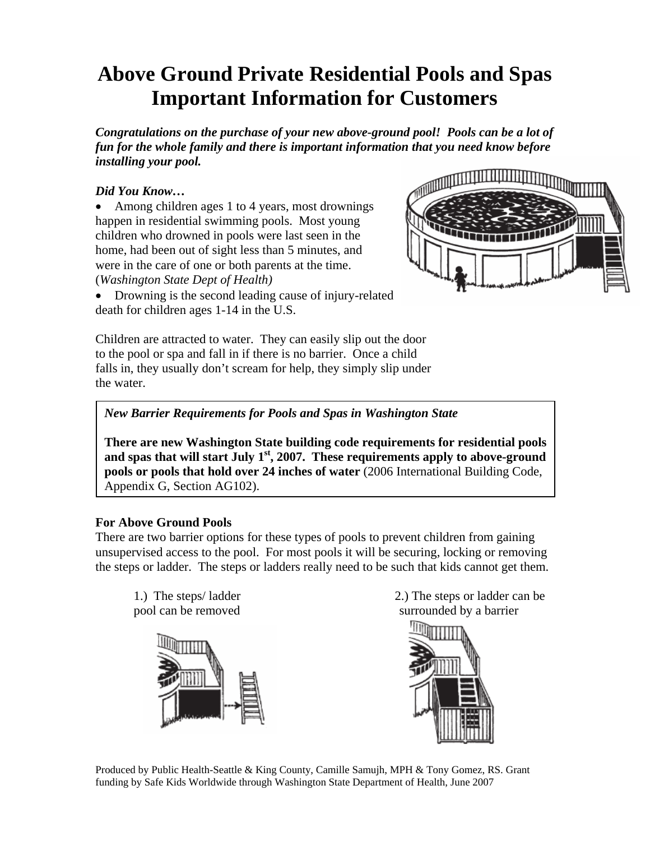## **Above Ground Private Residential Pools and Spas Important Information for Customers**

*Congratulations on the purchase of your new above-ground pool! Pools can be a lot of fun for the whole family and there is important information that you need know before installing your pool.* 

## *Did You Know…*

• Among children ages 1 to 4 years, most drownings happen in residential swimming pools. Most young children who drowned in pools were last seen in the home, had been out of sight less than 5 minutes, and were in the care of one or both parents at the time. (*Washington State Dept of Health)*

• Drowning is the second leading cause of injury-related death for children ages 1-14 in the U.S.



Children are attracted to water. They can easily slip out the door to the pool or spa and fall in if there is no barrier. Once a child falls in, they usually don't scream for help, they simply slip under the water.

## *New Barrier Requirements for Pools and Spas in Washington State*

**There are new Washington State building code requirements for residential pools and spas that will start July 1st, 2007. These requirements apply to above-ground pools or pools that hold over 24 inches of water** (2006 International Building Code, Appendix G, Section AG102).

## **For Above Ground Pools**

There are two barrier options for these types of pools to prevent children from gaining unsupervised access to the pool. For most pools it will be securing, locking or removing the steps or ladder. The steps or ladders really need to be such that kids cannot get them.



1.) The steps/ ladder 2.) The steps or ladder can be pool can be removed surrounded by a barrier



Produced by Public Health-Seattle & King County, Camille Samujh, MPH & Tony Gomez, RS. Grant funding by Safe Kids Worldwide through Washington State Department of Health, June 2007